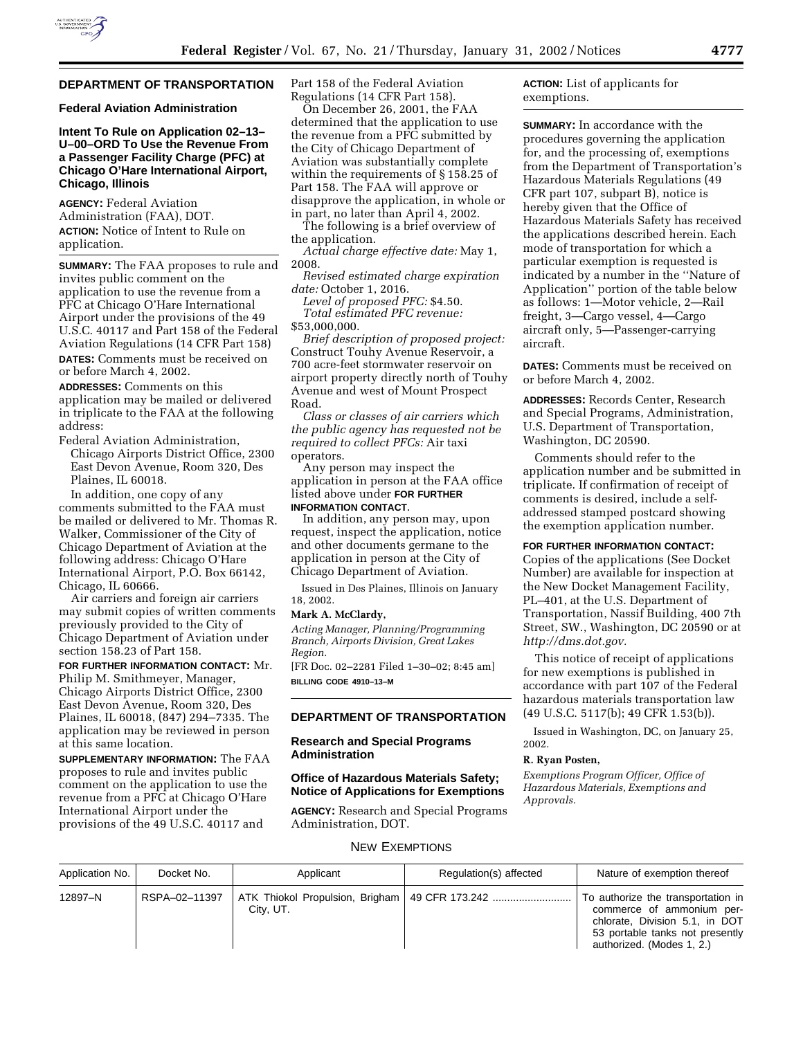

# **DEPARTMENT OF TRANSPORTATION**

# **Federal Aviation Administration**

# **Intent To Rule on Application 02–13– U–00–ORD To Use the Revenue From a Passenger Facility Charge (PFC) at Chicago O'Hare International Airport, Chicago, Illinois**

**AGENCY:** Federal Aviation Administration (FAA), DOT. **ACTION:** Notice of Intent to Rule on application.

**SUMMARY:** The FAA proposes to rule and invites public comment on the application to use the revenue from a PFC at Chicago O'Hare International Airport under the provisions of the 49 U.S.C. 40117 and Part 158 of the Federal Aviation Regulations (14 CFR Part 158) **DATES:** Comments must be received on or before March 4, 2002.

**ADDRESSES:** Comments on this application may be mailed or delivered in triplicate to the FAA at the following address:

Federal Aviation Administration, Chicago Airports District Office, 2300 East Devon Avenue, Room 320, Des Plaines, IL 60018.

In addition, one copy of any comments submitted to the FAA must be mailed or delivered to Mr. Thomas R. Walker, Commissioner of the City of Chicago Department of Aviation at the following address: Chicago O'Hare International Airport, P.O. Box 66142, Chicago, IL 60666.

Air carriers and foreign air carriers may submit copies of written comments previously provided to the City of Chicago Department of Aviation under section 158.23 of Part 158.

**FOR FURTHER INFORMATION CONTACT:** Mr. Philip M. Smithmeyer, Manager, Chicago Airports District Office, 2300 East Devon Avenue, Room 320, Des Plaines, IL 60018, (847) 294–7335. The application may be reviewed in person at this same location.

**SUPPLEMENTARY INFORMATION:** The FAA proposes to rule and invites public comment on the application to use the revenue from a PFC at Chicago O'Hare International Airport under the provisions of the 49 U.S.C. 40117 and

Part 158 of the Federal Aviation Regulations (14 CFR Part 158).

On December 26, 2001, the FAA determined that the application to use the revenue from a PFC submitted by the City of Chicago Department of Aviation was substantially complete within the requirements of § 158.25 of Part 158. The FAA will approve or disapprove the application, in whole or in part, no later than April 4, 2002.

The following is a brief overview of the application.

*Actual charge effective date:* May 1, 2008.

*Revised estimated charge expiration date:* October 1, 2016.

*Level of proposed PFC:* \$4.50. *Total estimated PFC revenue:* \$53,000,000.

*Brief description of proposed project:* Construct Touhy Avenue Reservoir, a 700 acre-feet stormwater reservoir on airport property directly north of Touhy Avenue and west of Mount Prospect Road.

*Class or classes of air carriers which the public agency has requested not be required to collect PFCs:* Air taxi operators.

Any person may inspect the application in person at the FAA office listed above under **FOR FURTHER INFORMATION CONTACT**.

In addition, any person may, upon request, inspect the application, notice and other documents germane to the application in person at the City of Chicago Department of Aviation.

Issued in Des Plaines, Illinois on January 18, 2002.

#### **Mark A. McClardy,**

*Acting Manager, Planning/Programming Branch, Airports Division, Great Lakes Region.*

[FR Doc. 02–2281 Filed 1–30–02; 8:45 am] **BILLING CODE 4910–13–M**

### **DEPARTMENT OF TRANSPORTATION**

### **Research and Special Programs Administration**

# **Office of Hazardous Materials Safety; Notice of Applications for Exemptions**

**AGENCY:** Research and Special Programs Administration, DOT.

**ACTION:** List of applicants for exemptions.

**SUMMARY:** In accordance with the procedures governing the application for, and the processing of, exemptions from the Department of Transportation's Hazardous Materials Regulations (49 CFR part 107, subpart B), notice is hereby given that the Office of Hazardous Materials Safety has received the applications described herein. Each mode of transportation for which a particular exemption is requested is indicated by a number in the ''Nature of Application'' portion of the table below as follows: 1—Motor vehicle, 2—Rail freight, 3—Cargo vessel, 4—Cargo aircraft only, 5—Passenger-carrying aircraft.

**DATES:** Comments must be received on or before March 4, 2002.

**ADDRESSES:** Records Center, Research and Special Programs, Administration, U.S. Department of Transportation, Washington, DC 20590.

Comments should refer to the application number and be submitted in triplicate. If confirmation of receipt of comments is desired, include a selfaddressed stamped postcard showing the exemption application number.

#### **FOR FURTHER INFORMATION CONTACT:**

Copies of the applications (See Docket Number) are available for inspection at the New Docket Management Facility, PL–401, at the U.S. Department of Transportation, Nassif Building, 400 7th Street, SW., Washington, DC 20590 or at *http://dms.dot.gov.*

This notice of receipt of applications for new exemptions is published in accordance with part 107 of the Federal hazardous materials transportation law (49 U.S.C. 5117(b); 49 CFR 1.53(b)).

Issued in Washington, DC, on January 25, 2002.

#### **R. Ryan Posten,**

*Exemptions Program Officer, Office of Hazardous Materials, Exemptions and Approvals.*

#### NEW EXEMPTIONS

| Application No. | Docket No.    | Applicant | Regulation(s) affected                           | Nature of exemption thereof                                                                                                                                       |
|-----------------|---------------|-----------|--------------------------------------------------|-------------------------------------------------------------------------------------------------------------------------------------------------------------------|
| 12897-N         | RSPA-02-11397 | City, UT. | ATK Thiokol Propulsion, Brigham   49 CFR 173.242 | To authorize the transportation in<br>commerce of ammonium per-<br>chlorate, Division 5.1, in DOT<br>53 portable tanks not presently<br>authorized. (Modes 1, 2.) |